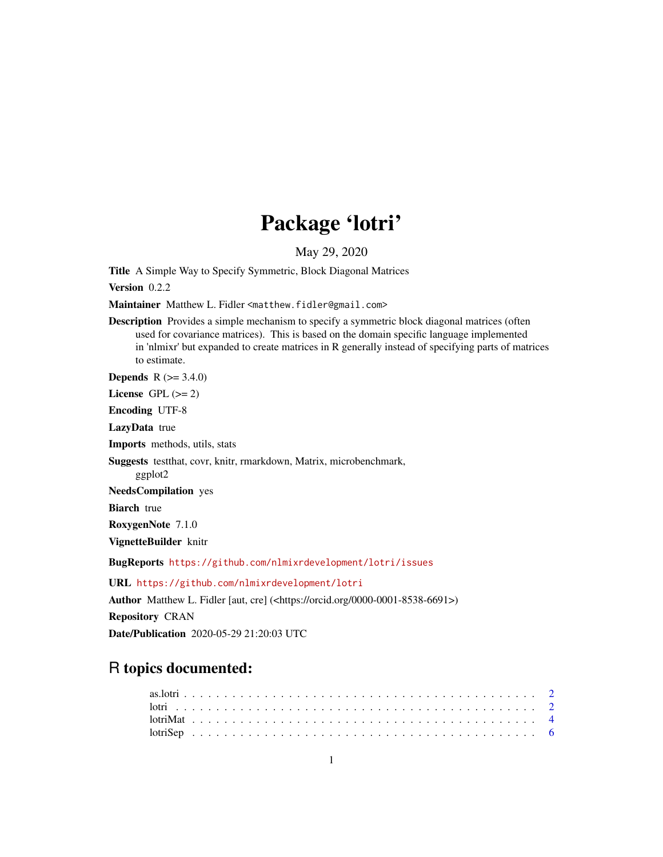# Package 'lotri'

May 29, 2020

<span id="page-0-0"></span>Title A Simple Way to Specify Symmetric, Block Diagonal Matrices

Version 0.2.2

Maintainer Matthew L. Fidler <matthew.fidler@gmail.com>

Description Provides a simple mechanism to specify a symmetric block diagonal matrices (often used for covariance matrices). This is based on the domain specific language implemented in 'nlmixr' but expanded to create matrices in R generally instead of specifying parts of matrices to estimate.

**Depends**  $R (= 3.4.0)$ 

License GPL  $(>= 2)$ 

Encoding UTF-8

LazyData true

Imports methods, utils, stats

Suggests testthat, covr, knitr, rmarkdown, Matrix, microbenchmark,

ggplot2

NeedsCompilation yes

**Biarch** true

RoxygenNote 7.1.0

VignetteBuilder knitr

BugReports <https://github.com/nlmixrdevelopment/lotri/issues>

URL <https://github.com/nlmixrdevelopment/lotri>

Author Matthew L. Fidler [aut, cre] (<https://orcid.org/0000-0001-8538-6691>) Repository CRAN Date/Publication 2020-05-29 21:20:03 UTC

## R topics documented: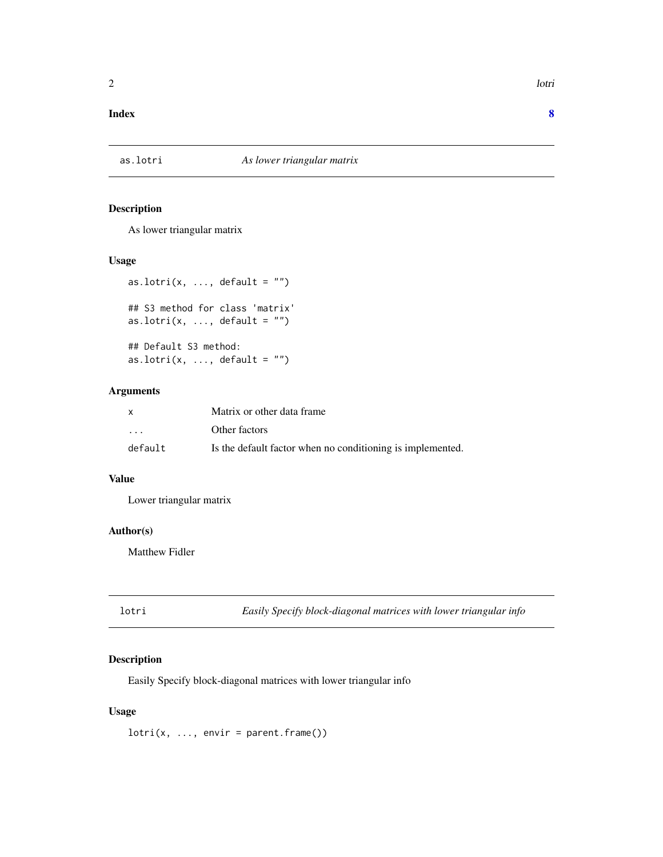#### <span id="page-1-0"></span>**Index** [8](#page-7-0) **8**

#### Description

As lower triangular matrix

#### Usage

```
as.lotri(x, \ldots, default = "")
## S3 method for class 'matrix'
as.lotri(x, \ldots, default = "")
## Default S3 method:
as.lotri(x, ..., default = ")
```
#### Arguments

| x       | Matrix or other data frame                                 |
|---------|------------------------------------------------------------|
| $\cdot$ | Other factors                                              |
| default | Is the default factor when no conditioning is implemented. |

#### Value

Lower triangular matrix

#### Author(s)

Matthew Fidler

lotri *Easily Specify block-diagonal matrices with lower triangular info*

#### Description

Easily Specify block-diagonal matrices with lower triangular info

#### Usage

 $lotri(x, ..., envir = parent-frame())$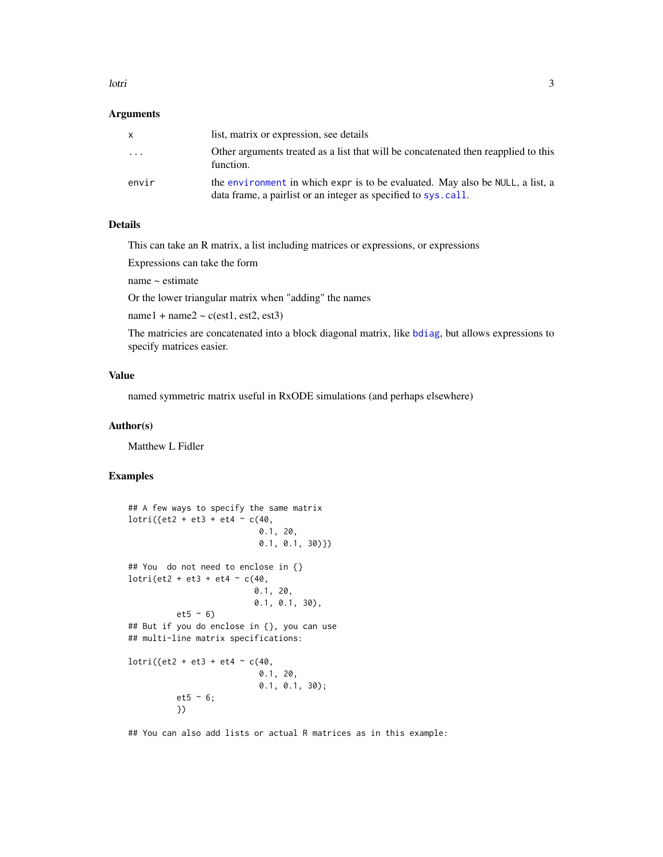#### <span id="page-2-0"></span>lotri  $\frac{3}{3}$

#### Arguments

|       | list, matrix or expression, see details                                                                                                         |
|-------|-------------------------------------------------------------------------------------------------------------------------------------------------|
| .     | Other arguments treated as a list that will be concatenated then reapplied to this<br>function.                                                 |
| envir | the environment in which expr is to be evaluated. May also be NULL, a list, a<br>data frame, a pairlist or an integer as specified to sys.call. |

#### Details

This can take an R matrix, a list including matrices or expressions, or expressions

Expressions can take the form

name ~ estimate

Or the lower triangular matrix when "adding" the names

 $name1 + name2 \sim c(est1, est2, est3)$ 

The matricies are concatenated into a block diagonal matrix, like [bdiag](#page-0-0), but allows expressions to specify matrices easier.

#### Value

named symmetric matrix useful in RxODE simulations (and perhaps elsewhere)

#### Author(s)

Matthew L Fidler

#### Examples

```
## A few ways to specify the same matrix
lotri({et2 + et3 + et4 \sim c(40,
                           0.1, 20,
                           0.1, 0.1, 30)})
## You do not need to enclose in {}
lotri(et2 + et3 + et4 \sim c(40,
                          0.1, 20,
                          0.1, 0.1, 30),
          et5 ~ 6)## But if you do enclose in {}, you can use
## multi-line matrix specifications:
lotri({et2 + et3 + et4 ~ c(40,0.1, 20,
                           0.1, 0.1, 30);
          et5 ~ ~ ~ 6;})
```
## You can also add lists or actual R matrices as in this example: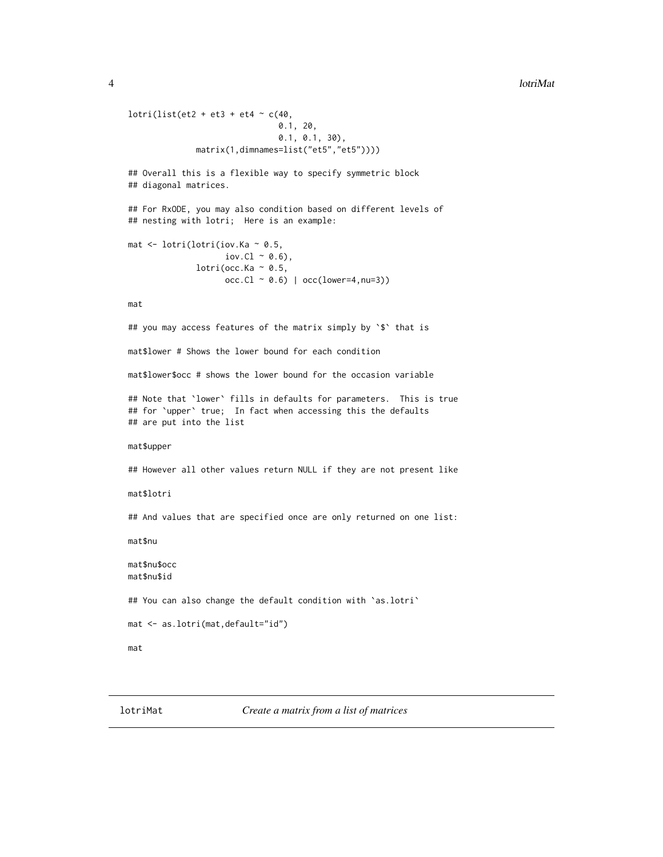#### <span id="page-3-0"></span>4 lotriMat

```
lotri(list(et2 + et3 + et4 \sim c(40,
                               0.1, 20,
                               0.1, 0.1, 30),
              matrix(1,dimnames=list("et5","et5"))))
## Overall this is a flexible way to specify symmetric block
## diagonal matrices.
## For RxODE, you may also condition based on different levels of
## nesting with lotri; Here is an example:
mat <- lotri(lotri(iov.Ka ~ 0.5,
                    \text{iov.L} \sim 0.6,
              lotri(occ.Ka \sim 0.5,
                    occ.C1 ~ ~ 0.6) | occ(lower=4,nu=3))mat
## you may access features of the matrix simply by `$` that is
mat$lower # Shows the lower bound for each condition
mat$lower$occ # shows the lower bound for the occasion variable
## Note that `lower` fills in defaults for parameters. This is true
## for `upper` true; In fact when accessing this the defaults
## are put into the list
mat$upper
## However all other values return NULL if they are not present like
mat$lotri
## And values that are specified once are only returned on one list:
mat$nu
mat$nu$occ
mat$nu$id
## You can also change the default condition with 'as.lotri'
mat <- as.lotri(mat,default="id")
mat
```
lotriMat *Create a matrix from a list of matrices*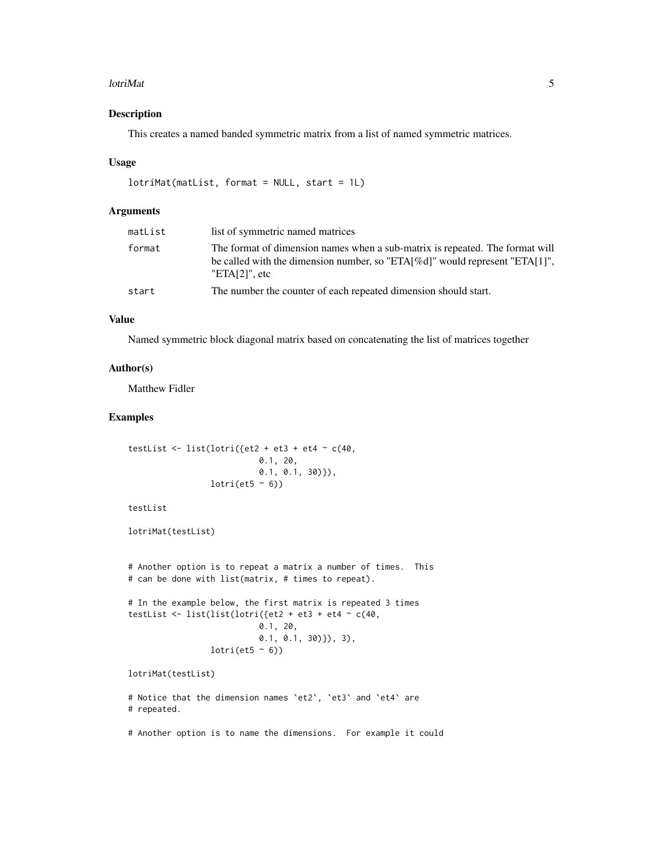#### lotriMat 5

#### Description

This creates a named banded symmetric matrix from a list of named symmetric matrices.

#### Usage

```
lotriMat(matList, format = NULL, start = 1L)
```
#### Arguments

| matList | list of symmetric named matrices                                                                                                                                                         |
|---------|------------------------------------------------------------------------------------------------------------------------------------------------------------------------------------------|
| format  | The format of dimension names when a sub-matrix is repeated. The format will<br>be called with the dimension number, so "ETA $[%d]$ " would represent "ETA $[1]$ ",<br>"ETA $[2]$ ", etc |
| start   | The number the counter of each repeated dimension should start.                                                                                                                          |

#### Value

Named symmetric block diagonal matrix based on concatenating the list of matrices together

#### Author(s)

Matthew Fidler

### Examples

```
testList \le list(lotri({et2 + et3 + et4 \sim c(40,
                            0.1, 20,
                            0.1, 0.1, 30)}),
                 lotri (et5 ~ 6))
```
testList

lotriMat(testList)

```
# Another option is to repeat a matrix a number of times. This
# can be done with list(matrix, # times to repeat).
# In the example below, the first matrix is repeated 3 times
```

```
testList <- list(list(lotri({et2 + et3 + et4 \sim c(40,
                             0.1, 20,
                             0.1, 0.1, 30)}), 3),
                  lotri(et5 ~\sim~ 6))
```
lotriMat(testList)

```
# Notice that the dimension names `et2`, `et3` and `et4` are
# repeated.
```
# Another option is to name the dimensions. For example it could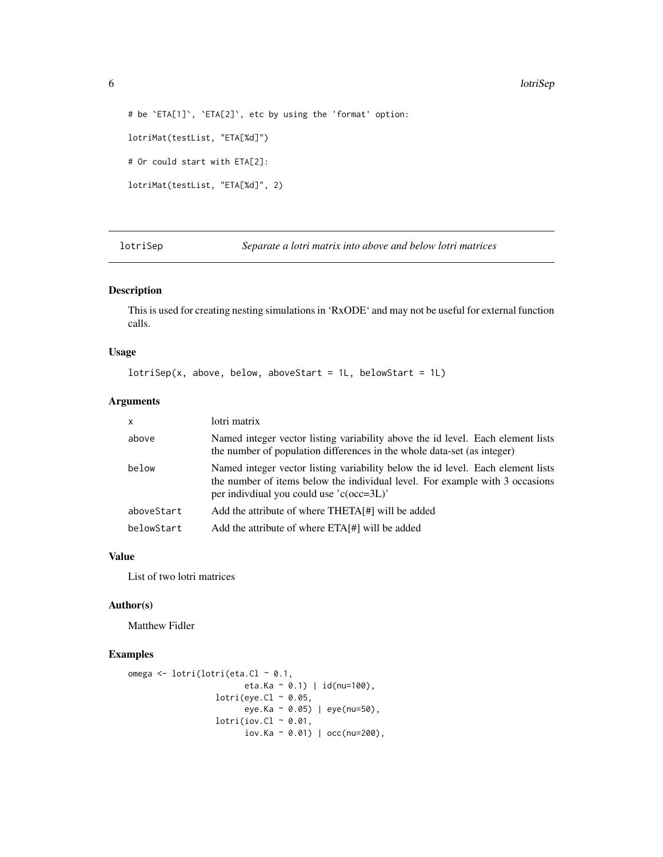#### 6 lotriSep

```
# be `ETA[1]`, `ETA[2]`, etc by using the 'format' option:
lotriMat(testList, "ETA[%d]")
# Or could start with ETA[2]:
lotriMat(testList, "ETA[%d]", 2)
```
lotriSep *Separate a lotri matrix into above and below lotri matrices*

#### Description

This is used for creating nesting simulations in 'RxODE' and may not be useful for external function calls.

#### Usage

```
lotrisep(x, above, below, aboveStart = 1L, belowStart = 1L)
```
#### Arguments

| $\boldsymbol{\mathsf{x}}$ | lotri matrix                                                                                                                                                                                                  |
|---------------------------|---------------------------------------------------------------------------------------------------------------------------------------------------------------------------------------------------------------|
| above                     | Named integer vector listing variability above the id level. Each element lists<br>the number of population differences in the whole data-set (as integer)                                                    |
| below                     | Named integer vector listing variability below the id level. Each element lists<br>the number of items below the individual level. For example with 3 occasions<br>per indivdiual you could use $(c(occ=3L))$ |
| aboveStart                | Add the attribute of where THETA[#] will be added                                                                                                                                                             |
| belowStart                | Add the attribute of where ETA[#] will be added                                                                                                                                                               |

#### Value

List of two lotri matrices

#### Author(s)

Matthew Fidler

#### Examples

```
omega <- lotri(lotri(eta.Cl ~ 0.1,
                        eta.Ka ~ 0.1) | id(nu=100),
                  lotri(eye.C1 ~ ~ 0.05,eye.Ka ~ 0.05) | eye(nu=50),
                  lotri(iov.C1 ~ ~ 0.01,iov.Ka ~ 0.01) | occ(nu=200),
```
<span id="page-5-0"></span>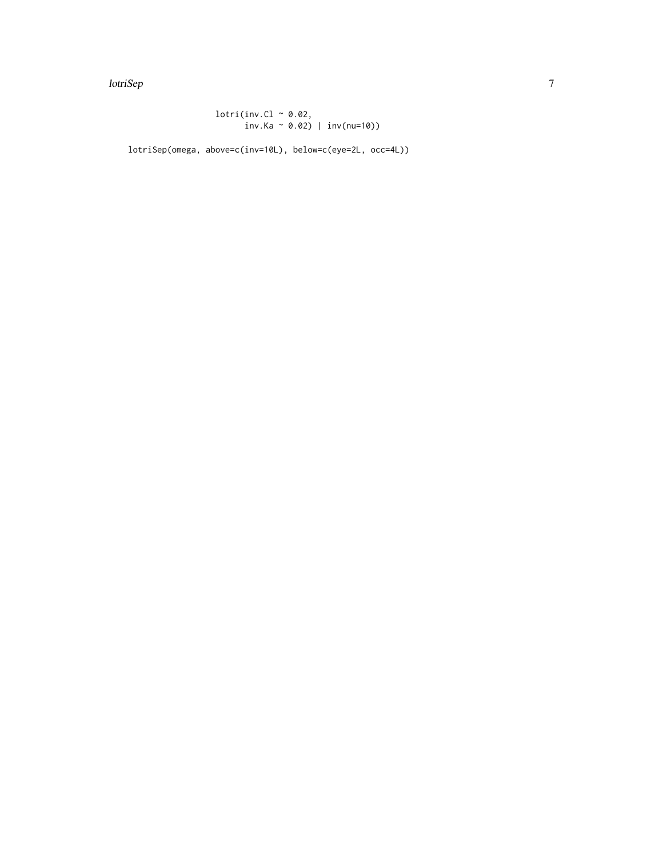lotriSep 7 and 2007 and 2008 and 2008 and 2008 and 2008 and 2008 and 2008 and 2008 and 2008 and 2008 and 2008

 $lotri(inv.C1 ~ ~ 0.02,$ inv.Ka ~ 0.02) | inv(nu=10))

lotriSep(omega, above=c(inv=10L), below=c(eye=2L, occ=4L))